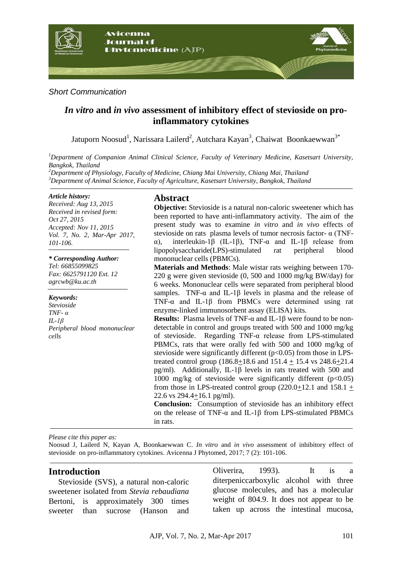

#### *Short Communication*

# *In vitro* **and** *in vivo* **assessment of inhibitory effect of stevioside on proinflammatory cytokines**

Jatuporn Noosud<sup>1</sup>, Narissara Lailerd<sup>2</sup>, Autchara Kayan<sup>3</sup>, Chaiwat Boonkaewwan<sup>3\*</sup>

*<sup>1</sup>Department of Companion Animal Clinical Science, Faculty of Veterinary Medicine, Kasetsart University, Bangkok, Thailand*

*<sup>2</sup>Department of Physiology, Faculty of Medicine, Chiang Mai University, Chiang Mai, Thailand <sup>3</sup>Department of Animal Science, Faculty of Agriculture, Kasetsart University, Bangkok, Thailand*

#### *Article history:*

*Received: Aug 13, 2015 Received in revised form: Oct 27, 2015 Accepted: Nov 11, 2015 Vol. 7, No. 2, Mar-Apr 2017, 101-106.*

#### *\* Corresponding Author:*

*Tel: 66855099825 Fax: 6625791120 Ext. 12 agrcwb@ku.ac.th*

#### *Keywords:*

*Stevioside TNF- α IL-1β Peripheral blood mononuclear cells*

## **Abstract**

**Objective:** Stevioside is a natural non-caloric sweetener which has been reported to have anti-inflammatory activity. The aim of the present study was to examine *in vitro* and *in vivo* effects of stevioside on rats plasma levels of tumor necrosis factor- α (TNFα), interleukin-1β (IL-1β), TNF-α and IL-1β release from lipopolysaccharide(LPS)-stimulated rat peripheral blood mononuclear cells (PBMCs).

**Materials and Methods**: Male wistar rats weighing between 170- 220 g were given stevioside (0, 500 and 1000 mg/kg BW/day) for 6 weeks. Mononuclear cells were separated from peripheral blood samples. TNF- $\alpha$  and IL-1 $\beta$  levels in plasma and the release of TNF-α and IL-1β from PBMCs were determined using rat enzyme-linked immunosorbent assay (ELISA) kits.

**Results:** Plasma levels of TNF-α and IL-1β were found to be nondetectable in control and groups treated with 500 and 1000 mg/kg of stevioside. Regarding TNF-α release from LPS-stimulated PBMCs, rats that were orally fed with 500 and 1000 mg/kg of stevioside were significantly different  $(p<0.05)$  from those in LPStreated control group (186.8+18.6 and 151.4 + 15.4 vs 248.6+21.4 pg/ml). Additionally, IL-1β levels in rats treated with 500 and 1000 mg/kg of stevioside were significantly different  $(p<0.05)$ from those in LPS-treated control group  $(220.0+12.1$  and  $158.1 +$ 22.6 vs 294.4+16.1 pg/ml).

**Conclusion:** Consumption of stevioside has an inhibitory effect on the release of TNF-α and IL-1β from LPS-stimulated PBMCs in rats.

*Please cite this paper as:* 

Noosud J, Lailerd N, Kayan A, Boonkaewwan C. *In vitro* and *in vivo* assessment of inhibitory effect of stevioside on pro-inflammatory cytokines. Avicenna J Phytomed, 2017; 7 (2): 101-106.

## **Introduction**

Stevioside (SVS), a natural non-caloric sweetener isolated from *Stevia rebaudiana* Bertoni, is approximately 300 times sweeter than sucrose (Hanson and

Oliverira, 1993). It is a diterpeniccarboxylic alcohol with three glucose molecules, and has a molecular weight of 804.9. It does not appear to be taken up across the intestinal mucosa,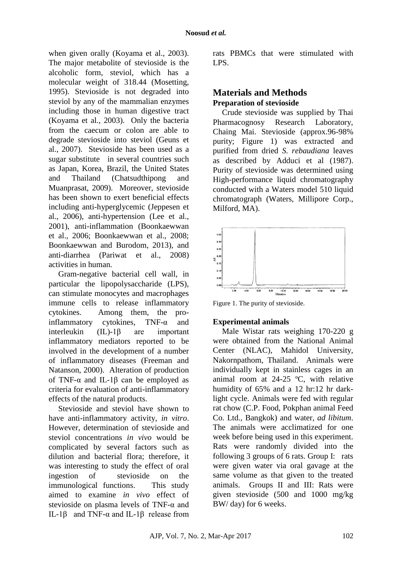when given orally (Koyama et al., 2003). The major metabolite of stevioside is the alcoholic form, steviol, which has a molecular weight of 318.44 (Mosetting, 1995). Stevioside is not degraded into steviol by any of the mammalian enzymes including those in human digestive tract (Koyama et al., 2003). Only the bacteria from the caecum or colon are able to degrade stevioside into steviol (Geuns et al., 2007). Stevioside has been used as a sugar substitute in several countries such as Japan, Korea, Brazil, the United States and Thailand (Chatsudthipong and Muanprasat, 2009). Moreover, stevioside has been shown to exert beneficial effects including anti-hyperglycemic (Jeppesen et al., 2006), anti-hypertension (Lee et al., 2001), anti-inflammation (Boonkaewwan et al., 2006; Boonkaewwan et al., 2008; Boonkaewwan and Burodom, 2013), and anti-diarrhea (Pariwat et al., 2008) activities in human.

Gram-negative bacterial cell wall, in particular the lipopolysaccharide (LPS), can stimulate monocytes and macrophages immune cells to release inflammatory cytokines. Among them, the proinflammatory cytokines, TNF-α and interleukin (IL)-1β are important inflammatory mediators reported to be involved in the development of a number of inflammatory diseases (Freeman and Natanson, 2000). Alteration of production of TNF- $\alpha$  and IL-1 $\beta$  can be employed as criteria for evaluation of anti-inflammatory effects of the natural products.

Stevioside and steviol have shown to have anti-inflammatory activity, *in vitro*. However, determination of stevioside and steviol concentrations *in vivo* would be complicated by several factors such as dilution and bacterial flora; therefore, it was interesting to study the effect of oral ingestion of stevioside on the immunological functions. This study aimed to examine *in vivo* effect of stevioside on plasma levels of TNF-α and IL-1β and TNF-α and IL-1β release from rats PBMCs that were stimulated with LPS.

# **Materials and Methods Preparation of stevioside**

Crude stevioside was supplied by Thai Pharmacognosy Research Laboratory, Chaing Mai. Stevioside (approx.96-98% purity; Figure 1) was extracted and purified from dried *S. rebaudiana* leaves as described by Adduci et al (1987). Purity of stevioside was determined using High-performance liquid chromatography conducted with a Waters model 510 liquid chromatograph (Waters, Millipore Corp., Milford, MA).



Figure 1. The purity of stevioside.

## **Experimental animals**

Male Wistar rats weighing 170-220 g were obtained from the National Animal Center (NLAC), Mahidol University, Nakornpathom, Thailand. Animals were individually kept in stainless cages in an animal room at 24-25 ºC, with relative humidity of 65% and a 12 hr:12 hr darklight cycle. Animals were fed with regular rat chow (C.P. Food, Pokphan animal Feed Co. Ltd., Bangkok) and water, *ad libitum*. The animals were acclimatized for one week before being used in this experiment. Rats were randomly divided into the following 3 groups of 6 rats. Group I: rats were given water via oral gavage at the same volume as that given to the treated animals. Groups II and III: Rats were given stevioside (500 and 1000 mg/kg BW/ day) for 6 weeks.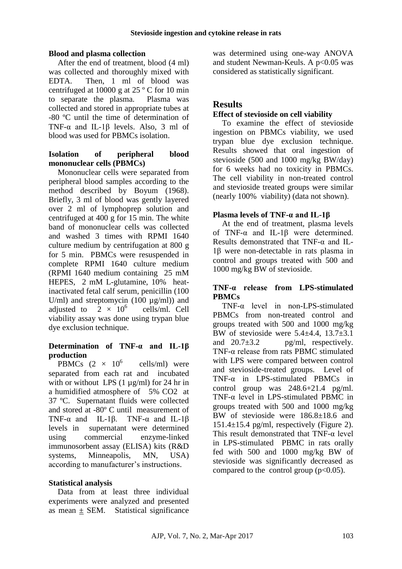## **Blood and plasma collection**

After the end of treatment, blood (4 ml) was collected and thoroughly mixed with EDTA. Then, 1 ml of blood was centrifuged at 10000 g at 25 º C for 10 min to separate the plasma. Plasma was collected and stored in appropriate tubes at -80 ºC until the time of determination of TNF-α and IL-1β levels. Also, 3 ml of blood was used for PBMCs isolation.

## **Isolation of peripheral blood mononuclear cells (PBMCs)**

Mononuclear cells were separated from peripheral blood samples according to the method described by Boyum (1968). Briefly, 3 ml of blood was gently layered over 2 ml of lymphoprep solution and centrifuged at 400 g for 15 min. The white band of mononuclear cells was collected and washed 3 times with RPMI 1640 culture medium by centrifugation at 800 g for 5 min. PBMCs were resuspended in complete RPMI 1640 culture medium (RPMI 1640 medium containing 25 mM HEPES, 2 mM L-glutamine, 10% heatinactivated fetal calf serum, penicillin (100 U/ml) and streptomycin  $(100 \mu g/ml)$  and adjusted to  $2 \times 10^6$  cells/ml. Cell viability assay was done using trypan blue dye exclusion technique.

## **Determination of TNF-α and IL-1β production**

PBMCs  $(2 \times 10^6$  cells/ml) were separated from each rat and incubated with or without LPS (1  $\mu$ g/ml) for 24 hr in a humidified atmosphere of 5% CO2 at 37 ºC. Supernatant fluids were collected and stored at -80º C until measurement of TNF- $\alpha$  and IL-1β. TNF- $\alpha$  and IL-1β levels in supernatant were determined using commercial enzyme-linked immunosorbent assay (ELISA) kits (R&D systems, Minneapolis, MN, USA) according to manufacturer's instructions.

## **Statistical analysis**

Data from at least three individual experiments were analyzed and presented as mean  $\pm$  SEM. Statistical significance

was determined using one-way ANOVA and student Newman-Keuls. A p<0.05 was considered as statistically significant.

## **Results**

## **Effect of stevioside on cell viability**

To examine the effect of stevioside ingestion on PBMCs viability, we used trypan blue dye exclusion technique. Results showed that oral ingestion of stevioside (500 and 1000 mg/kg BW/day) for 6 weeks had no toxicity in PBMCs. The cell viability in non-treated control and stevioside treated groups were similar (nearly 100% viability) (data not shown).

## **Plasma levels of TNF-α and IL-1β**

At the end of treatment, plasma levels of TNF-α and IL-1β were determined. Results demonstrated that TNF-α and IL-1β were non-detectable in rats plasma in control and groups treated with 500 and 1000 mg/kg BW of stevioside.

## **TNF-α release from LPS-stimulated PBMCs**

TNF-α level in non-LPS-stimulated PBMCs from non-treated control and groups treated with 500 and 1000 mg/kg BW of stevioside were 5.4±4.4, 13.7±3.1 and  $20.7\pm3.2$  pg/ml, respectively. TNF-α release from rats PBMC stimulated with LPS were compared between control and stevioside-treated groups. Level of TNF-α in LPS-stimulated PBMCs in control group was 248.6+21.4 pg/ml. TNF-α level in LPS-stimulated PBMC in groups treated with 500 and 1000 mg/kg BW of stevioside were 186.8±18.6 and 151.4±15.4 pg/ml, respectively (Figure 2). This result demonstrated that TNF-α level in LPS-stimulated PBMC in rats orally fed with 500 and 1000 mg/kg BW of stevioside was significantly decreased as compared to the control group  $(p<0.05)$ .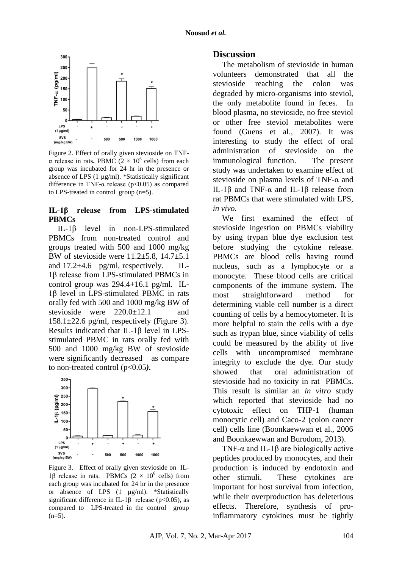

Figure 2. Effect of orally given stevioside on TNFα release in rats. PBMC  $(2 \times 10^6 \text{ cells})$  from each group was incubated for 24 hr in the presence or absence of LPS (1 µg/ml). \*Statistically significant difference in TNF- $\alpha$  release (p<0.05) as compared to LPS-treated in control group (n=5).

#### **IL-1β release from LPS-stimulated PBMCs**

IL-1β level in non-LPS-stimulated PBMCs from non-treated control and groups treated with 500 and 1000 mg/kg BW of stevioside were 11.2±5.8, 14.7±5.1 and  $17.2\pm4.6$  pg/ml, respectively. IL-1β release from LPS-stimulated PBMCs in control group was 294.4+16.1 pg/ml. IL-1β level in LPS-stimulated PBMC in rats orally fed with 500 and 1000 mg/kg BW of stevioside were  $220.0 \pm 12.1$  and  $158.1 \pm 22.6$  pg/ml, respectively (Figure 3). Results indicated that IL-1β level in LPSstimulated PBMC in rats orally fed with 500 and 1000 mg/kg BW of stevioside were significantly decreased as compare to non-treated control (p<0.05*).*



Figure 3. Effect of orally given stevioside on IL-1β release in rats. PBMCs (2  $\times$  10<sup>6</sup> cells) from each group was incubated for 24 hr in the presence or absence of LPS (1 µg/ml). \*Statistically significant difference in IL-1 $\beta$  release (p<0.05), as compared to LPS-treated in the control group  $(n=5)$ .

## **Discussion**

The metabolism of stevioside in human volunteers demonstrated that all the stevioside reaching the colon was degraded by micro-organisms into steviol, the only metabolite found in feces. In blood plasma, no stevioside, no free steviol or other free steviol metabolites were found (Guens et al., 2007). It was interesting to study the effect of oral administration of stevioside on the immunological function. The present study was undertaken to examine effect of stevioside on plasma levels of TNF-α and IL-1β and TNF-α and IL-1β release from rat PBMCs that were stimulated with LPS, *in vivo*.

We first examined the effect of stevioside ingestion on PBMCs viability by using trypan blue dye exclusion test before studying the cytokine release. PBMCs are blood cells having round nucleus, such as a lymphocyte or a monocyte. These blood cells are critical components of the immune system. The most straightforward method for determining viable cell number is a direct counting of cells by a hemocytometer. It is more helpful to stain the cells with a dye such as trypan blue, since viability of cells could be measured by the ability of live cells with uncompromised membrane integrity to exclude the dye. Our study showed that oral administration of stevioside had no toxicity in rat PBMCs. This result is similar an *in vitro* study which reported that stevioside had no cytotoxic effect on THP-1 (human monocytic cell) and Caco-2 (colon cancer cell) cells line (Boonkaewwan et al., 2006 and Boonkaewwan and Burodom, 2013).

TNF- $\alpha$  and IL-1 $\beta$  are biologically active peptides produced by monocytes, and their production is induced by endotoxin and other stimuli. These cytokines are important for host survival from infection, while their overproduction has deleterious effects. Therefore, synthesis of proinflammatory cytokines must be tightly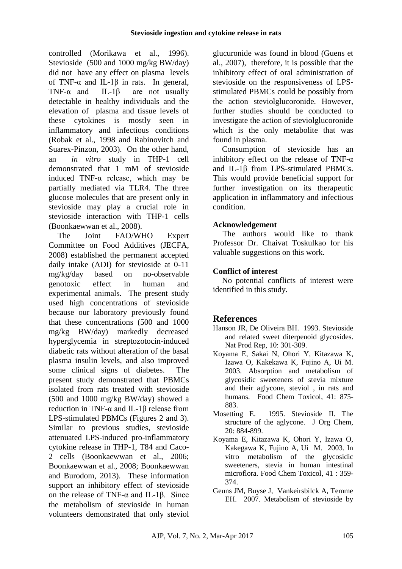controlled (Morikawa et al., 1996). Stevioside (500 and 1000 mg/kg BW/day) did not have any effect on plasma levels of TNF- $\alpha$  and IL-1 $\beta$  in rats. In general, TNF- $\alpha$  and IL-1 $\beta$  are not usually detectable in healthy individuals and the elevation of plasma and tissue levels of these cytokines is mostly seen in inflammatory and infectious conditions (Robak et al., 1998 and Rabinovitch and Suarex-Pinzon, 2003). On the other hand, an *in vitro* study in THP-1 cell demonstrated that 1 mM of stevioside induced TNF-α release, which may be partially mediated via TLR4. The three glucose molecules that are present only in stevioside may play a crucial role in stevioside interaction with THP-1 cells (Boonkaewwan et al., 2008).

The Joint FAO/WHO Expert Committee on Food Additives (JECFA, 2008) established the permanent accepted daily intake (ADI) for stevioside at 0-11 mg/kg/day based on no-observable genotoxic effect in human and experimental animals. The present study used high concentrations of stevioside because our laboratory previously found that these concentrations (500 and 1000 mg/kg BW/day) markedly decreased hyperglycemia in streptozotocin-induced diabetic rats without alteration of the basal plasma insulin levels, and also improved some clinical signs of diabetes. The present study demonstrated that PBMCs isolated from rats treated with stevioside (500 and 1000 mg/kg BW/day) showed a reduction in TNF-α and IL-1β release from LPS-stimulated PBMCs (Figures 2 and 3). Similar to previous studies, stevioside attenuated LPS-induced pro-inflammatory cytokine release in THP-1, T84 and Caco-2 cells (Boonkaewwan et al., 2006; Boonkaewwan et al., 2008; Boonkaewwan and Burodom, 2013). These information support an inhibitory effect of stevioside on the release of TNF-α and IL-1β. Since the metabolism of stevioside in human volunteers demonstrated that only steviol glucuronide was found in blood (Guens et al., 2007), therefore, it is possible that the inhibitory effect of oral administration of stevioside on the responsiveness of LPSstimulated PBMCs could be possibly from the action steviolglucoronide. However, further studies should be conducted to investigate the action of steviolglucoronide which is the only metabolite that was found in plasma.

Consumption of stevioside has an inhibitory effect on the release of TNF- $\alpha$ and IL-1β from LPS-stimulated PBMCs. This would provide beneficial support for further investigation on its therapeutic application in inflammatory and infectious condition.

## **Acknowledgement**

The authors would like to thank Professor Dr. Chaivat Toskulkao for his valuable suggestions on this work.

## **Conflict of interest**

No potential conflicts of interest were identified in this study.

## **References**

- Hanson JR, De Oliveira BH. 1993. Stevioside and related sweet diterpenoid glycosides. Nat Prod Rep, 10: 301-309.
- Koyama E, Sakai N, Ohori Y, Kitazawa K, Izawa O, Kakekawa K, Fujino A, Ui M. 2003. Absorption and metabolism of glycosidic sweeteners of stevia mixture and their aglycone, steviol , in rats and humans. Food Chem Toxicol, 41: 875- 883.
- Mosetting E. 1995. Stevioside II. The structure of the aglycone. J Org Chem, 20: 884-899.
- Koyama E, Kitazawa K, Ohori Y, Izawa O, Kakegawa K, Fujino A, Ui M. 2003. In vitro metabolism of the glycosidic sweeteners, stevia in human intestinal microflora. Food Chem Toxicol, 41 : 359- 374.
- Geuns JM, Buyse J, Vankeirsbilck A, Temme EH. 2007. Metabolism of stevioside by